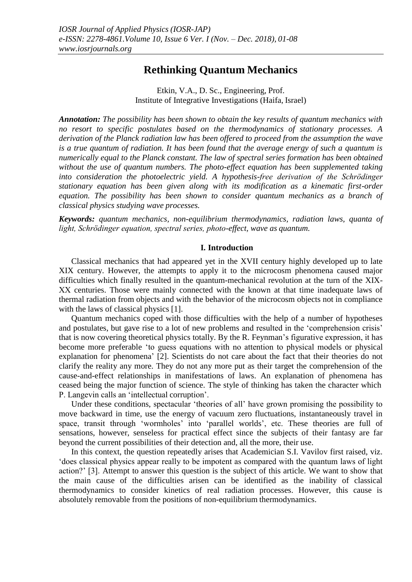# **Rethinking Quantum Mechanics**

Etkin, V.A., D. Sc., Engineering, Prof. Institute of Integrative Investigations (Haifa, Israel)

*Annotation: The possibility has been shown to obtain the key results of quantum mechanics with no resort to specific postulates based on the thermodynamics of stationary processes. A derivation of the Planck radiation law has been offered to proceed from the assumption the wave is a true quantum of radiation. It has been found that the average energy of such a quantum is numerically equal to the Planck constant. The law of spectral series formation has been obtained without the use of quantum numbers. The photo-effect equation has been supplemented taking into consideration the photoelectric yield. A hypothesis-free derivation of the Schrödinger stationary equation has been given along with its modification as a kinematic first-order equation. The possibility has been shown to consider quantum mechanics as a branch of classical physics studying wave processes.*

*Keywords: quantum mechanics, non-equilibrium thermodynamics, radiation laws, quanta of light, Schrödinger equation, spectral series, photo-effect, wave as quantum.*

#### **I. Introduction**

Classical mechanics that had appeared yet in the XVII century highly developed up to late XIX century. However, the attempts to apply it to the microcosm phenomena caused major difficulties which finally resulted in the quantum-mechanical revolution at the turn of the XIX-ХХ centuries. Those were mainly connected with the known at that time inadequate laws of thermal radiation from objects and with the behavior of the microcosm objects not in compliance with the laws of classical physics [1].

Quantum mechanics coped with those difficulties with the help of a number of hypotheses and postulates, but gave rise to a lot of new problems and resulted in the 'comprehension crisis' that is now covering theoretical physics totally. By the R. Feynman's figurative expression, it has become more preferable 'to guess equations with no attention to physical models or physical explanation for phenomena' [2]. Scientists do not care about the fact that their theories do not clarify the reality any more. They do not any more put as their target the comprehension of the cause-and-effect relationships in manifestations of laws. An explanation of phenomena has ceased being the major function of science. The style of thinking has taken the character which P. Langevin calls an 'intellectual corruption'.

Under these conditions, spectacular 'theories of all' have grown promising the possibility to move backward in time, use the energy of vacuum zero fluctuations, instantaneously travel in space, transit through 'wormholes' into 'parallel worlds', etc. These theories are full of sensations, however, senseless for practical effect since the subjects of their fantasy are far beyond the current possibilities of their detection and, all the more, their use.

In this context, the question repeatedly arises that Academician S.I. Vavilov first raised, viz. 'does classical physics appear really to be impotent as compared with the quantum laws of light action?' [3]. Attempt to answer this question is the subject of this article. We want to show that the main cause of the difficulties arisen can be identified as the inability of classical thermodynamics to consider kinetics of real radiation processes. However, this cause is absolutely removable from the positions of non-equilibrium thermodynamics.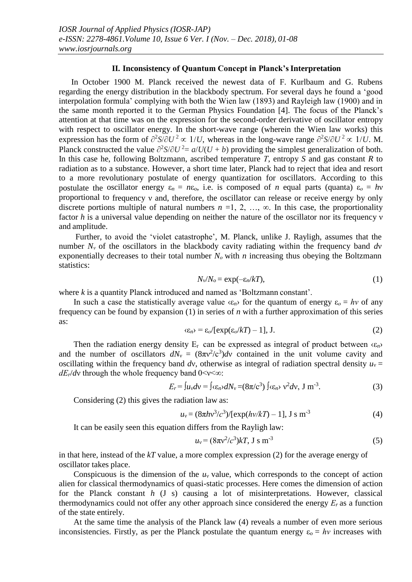## **II. Inconsistency of Quantum Concept in Planck's Interpretation**

In October 1900 M. Planck received the newest data of F. Kurlbaum and G. Rubens regarding the energy distribution in the blackbody spectrum. For several days he found a 'good interpolation formula' complying with both the Wien law (1893) and Rayleigh law (1900) and in the same month reported it to the German Physics Foundation [4]. The focus of the Planck's attention at that time was on the expression for the second-order derivative of oscillator entropy with respect to oscillator energy. In the short-wave range (wherein the Wien law works) this expression has the form of  $\partial^2 S / \partial U^2 \propto 1 / U$ , whereas in the long-wave range  $\partial^2 S / \partial U^2 \propto 1 / U$ . M. Planck constructed the value  $\partial^2 S / \partial U^2 = a / U (U + b)$  providing the simplest generalization of both. In this case he, following Boltzmann, ascribed temperature *Т*, entropy *S* and gas constant *R* to radiation as to a substance. However, a short time later, Planck had to reject that idea and resort to a more revolutionary postulate of energy quantization for oscillators. According to this postulate the oscillator energy  $\varepsilon_n = n\varepsilon_0$ , i.e. is composed of *n* equal parts (quanta)  $\varepsilon_0 = hv$ proportional to frequency ν and, therefore, the oscillator can release or receive energy by only discrete portions multiple of natural numbers  $n = 1, 2, ..., \infty$ . In this case, the proportionality factor *h* is a universal value depending on neither the nature of the oscillator nor its frequency ν and amplitude.

Further, to avoid the 'violet catastrophe', M. Planck, unlike J. Rayligh, assumes that the number  $N_v$  of the oscillators in the blackbody cavity radiating within the frequency band  $dv$ exponentially decreases to their total number  $N<sub>o</sub>$  with *n* increasing thus obeying the Boltzmann statistics:

$$
N_v/N_o = \exp(-\varepsilon_n/kT),\tag{1}
$$

where *k* is a quantity Planck introduced and named as 'Boltzmann constant'.

In such a case the statistically average value  $\langle \epsilon_n \rangle$  for the quantum of energy  $\epsilon_o = hv$  of any frequency can be found by expansion (1) in series of *n* with a further approximation of this series as:

$$
\langle \varepsilon_n \rangle = \varepsilon_o / [\exp(\varepsilon_o / kT) - 1], \, J. \tag{2}
$$

Then the radiation energy density  $E_r$  can be expressed as integral of product between  $\langle \epsilon_n \rangle$ and the number of oscillators  $dN_v = (8\pi v^2/c^3)dv$  contained in the unit volume cavity and oscillating within the frequency band *dv*, otherwise as integral of radiation spectral density  $u<sub>v</sub> =$ *dE*<sup>*r*</sup>/*d*ν through the whole frequency band 0<ν<∞:

$$
E_r = \int u_v dv = \int \langle \varepsilon_n v dN_v = (8\pi/c^3) \int \langle \varepsilon_n v^2 dv, J \, \text{m}^{-3} \,. \tag{3}
$$

Considering (2) this gives the radiation law as:

$$
u_v = (8\pi h v^3/c^3)/[\exp(hv/kT) - 1], \text{ J s m}^{-3}
$$
 (4)

It can be easily seen this equation differs from the Rayligh law:

$$
u_{v} = (8\pi v^{2}/c^{3})kT, \text{ J s m}^{-3}
$$
 (5)

in that here, instead of the *kT* value, a more complex expression (2) for the average energy of oscillator takes place.

Conspicuous is the dimension of the *u*ν value, which corresponds to the concept of action alien for classical thermodynamics of quasi-static processes. Here comes the dimension of action for the Planck constant *h* (J s) causing a lot of misinterpretations. However, classical thermodynamics could not offer any other approach since considered the energy  $E_r$  as a function of the state entirely.

At the same time the analysis of the Planck law (4) reveals a number of even more serious inconsistencies. Firstly, as per the Planck postulate the quantum energy  $\varepsilon_0 = hv$  increases with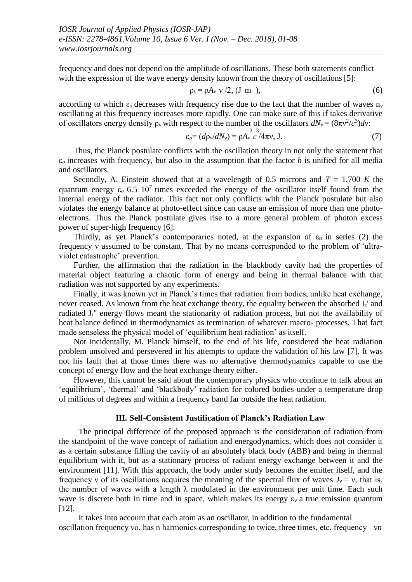frequency and does not depend on the amplitude of oscillations. These both statements conflict with the expression of the wave energy density known from the theory of oscillations [5]:

$$
\rho_{\nu} = \rho A_{\nu} \, \nu / 2, \, (\text{J m}), \tag{6}
$$

according to which  $\varepsilon_0$  decreases with frequency rise due to the fact that the number of waves  $n_v$ oscillating at this frequency increases more rapidly. One can make sure of this if takes derivative of oscillators energy density  $\rho_v$  with respect to the number of the oscillators  $dN_v = (8\pi v^2/c^3)dv$ :

$$
\varepsilon_o = (d\rho_v/dN_v) = \rho A_v^2 \frac{3}{c} 4\pi v, \text{ J.}
$$
 (7)

Thus, the Planck postulate conflicts with the oscillation theory in not only the statement that ε*о* increases with frequency, but also in the assumption that the factor *h* is unified for all media and oscillators.

Secondly, A. Einstein showed that at a wavelength of 0.5 microns and  $T = 1,700 K$  the quantum energy  $\varepsilon_0$  6.5 10<sup>7</sup> times exceeded the energy of the oscillator itself found from the internal energy of the radiator. This fact not only conflicts with the Planck postulate but also violates the energy balance at photo-effect since can cause an emission of more than one photoelectrons. Thus the Planck postulate gives rise to a more general problem of photon excess power of super-high frequency [6].

Thirdly, as yet Planck's contemporaries noted, at the expansion of  $\varepsilon_n$  in series (2) the frequency ν assumed to be constant. That by no means corresponded to the problem of 'ultraviolet catastrophe' prevention.

Further, the affirmation that the radiation in the blackbody cavity had the properties of material object featuring a chaotic form of energy and being in thermal balance with that radiation was not supported by any experiments.

Finally, it was known yet in Planck's times that radiation from bodies, unlike heat exchange, never ceased. As known from the heat exchange theory, the equality between the absorbed  $J_r$ ' and radiated J<sub>r</sub>" energy flows meant the stationarity of radiation process, but not the availability of heat balance defined in thermodynamics as termination of whatever macro- processes. That fact made senseless the physical model of 'equilibrium heat radiation' as itself.

Not incidentally, M. Planck himself, to the end of his life, considered the heat radiation problem unsolved and persevered in his attempts to update the validation of his law [7]. It was not his fault that at those times there was no alternative thermodynamics capable to use the concept of energy flow and the heat exchange theory either.

However, this cannot be said about the contemporary physics who continue to talk about an 'equilibrium', 'thermal' and 'blackbody' radiation for colored bodies under a temperature drop of millions of degrees and within a frequency band far outside the heat radiation.

#### **III. Self-Consistent Justification of Planck's Radiation Law**

The principal difference of the proposed approach is the consideration of radiation from the standpoint of the wave concept of radiation and energodynamics, which does not consider it as a certain substance filling the cavity of an absolutely black body (ABB) and being in thermal equilibrium with it, but as a stationary process of radiant energy exchange between it and the environment [11]. With this approach, the body under study becomes the emitter itself, and the frequency v of its oscillations acquires the meaning of the spectral flux of waves  $J_v = v$ , that is, the number of waves with a length  $\lambda$  modulated in the environment per unit time. Each such wave is discrete both in time and in space, which makes its energy  $\varepsilon_v$  a true emission quantum [12].

It takes into account that each atom as an oscillator, in addition to the fundamental oscillation frequency νo, has n harmonics corresponding to twice, three times, etc. frequency ν*n*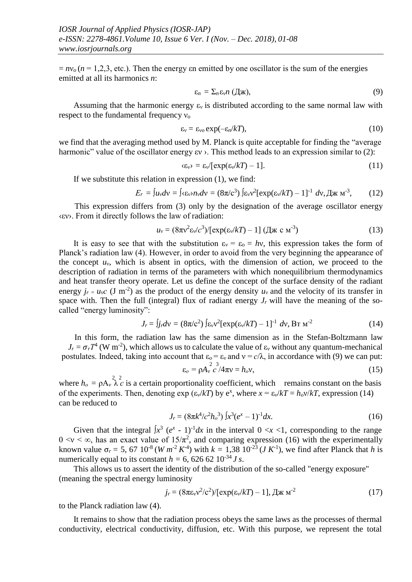$= nv_0 (n = 1, 2, 3, etc.).$  Then the energy  $\epsilon n$  emitted by one oscillator is the sum of the energies emitted at all its harmonics *n*:

$$
\varepsilon_n = \sum_n \varepsilon_v n \; (\mathbf{\mathcal{A}} \mathbf{\mathcal{K}}), \tag{9}
$$

Assuming that the harmonic energy  $\varepsilon_v$  is distributed according to the same normal law with respect to the fundamental frequency  $v_0$ 

$$
\varepsilon_{v} = \varepsilon_{vo} \exp(-\varepsilon_{n}/kT), \tag{10}
$$

we find that the averaging method used by M. Planck is quite acceptable for finding the "average harmonic" value of the oscillator energy εν ›. This method leads to an expression similar to (2):

$$
\langle \varepsilon_{v} \rangle = \varepsilon_{v} / [\exp(\varepsilon_{v}/kT) - 1]. \tag{11}
$$

If we substitute this relation in expression (1), we find:

$$
E_r = \int u_v dv = \int \langle \varepsilon_v \rangle n_v dv = (8\pi/c^3) \int \varepsilon_v v^2 [\exp(\varepsilon_v/kT) - 1]^{-1} dv, \text{A} \times \text{M}^{-3}, \quad (12)
$$

This expression differs from (3) only by the designation of the average oscillator energy ‹εν›. From it directly follows the law of radiation:

$$
u_{v} = (8\pi v^{2} \varepsilon_{v}/c^{3})/[\exp(\varepsilon_{v}/kT) - 1] (\mathcal{A} \times c \mathbf{M}^{3})
$$
\n(13)

It is easy to see that with the substitution  $\varepsilon_v = \varepsilon_o = hv$ , this expression takes the form of Planck's radiation law (4). However, in order to avoid from the very beginning the appearance of the concept  $u<sub>v</sub>$ , which is absent in optics, with the dimension of action, we proceed to the description of radiation in terms of the parameters with which nonequilibrium thermodynamics and heat transfer theory operate. Let us define the concept of the surface density of the radiant energy  $j_r = u_v c$  (J m<sup>-2</sup>) as the product of the energy density  $u_v$  and the velocity of its transfer in space with. Then the full (integral) flux of radiant energy  $J_r$  will have the meaning of the socalled "energy luminosity":

$$
J_r = \int j_r dv = (8\pi/c^2) \int \varepsilon_v v^2 [\exp(\varepsilon_v/kT) - 1]^{-1} dv, \text{Br } \mathbf{M}^{-2}
$$
 (14)

In this form, the radiation law has the same dimension as in the Stefan-Boltzmann law  $J_r = \sigma_r T^4$  (W m<sup>-2</sup>), which allows us to calculate the value of  $\varepsilon_v$  without any quantum-mechanical postulates. Indeed, taking into account that  $\varepsilon_0 = \varepsilon_v$  and  $v = c/\lambda$ , in accordance with (9) we can put:

$$
\varepsilon_o = \rho A_v^2 \frac{\varepsilon^3}{c^2} / 4\pi v = h_o v,\tag{15}
$$

where  $h_o = \rho A_v^2 \lambda_c^2$  is a certain proportionality coefficient, which remains constant on the basis of the experiments. Then, denoting  $\exp\left(\frac{\varepsilon_v}{kT}\right)$  by  $e^x$ , where  $x = \frac{\varepsilon_v}{kT} = h_0 v / kT$ , expression (14) can be reduced to

$$
J_r = (8\pi k^4/c^2 h_o^3) \int x^3 (e^x - 1)^{-1} dx.
$$
 (16)

Given that the integral  $\int x^3 (e^x - 1)^{-1} dx$  in the interval  $0 \lt x \lt 1$ , corresponding to the range  $0 \le v \le \infty$ , has an exact value of  $15/\pi^2$ , and comparing expression (16) with the experimentally known value  $\sigma_r = 5$ , 67 10<sup>-8</sup> (*W m<sup>-2</sup> K<sup>-4</sup>*) with  $k = 1,38 \ 10^{-23} (J K^{-1})$ , we find after Planck that *h* is numerically equal to its constant  $h = 6$ , 626 62 10<sup>-34</sup> *J s*.

This allows us to assert the identity of the distribution of the so-called "energy exposure" (meaning the spectral energy luminosity

$$
j_r = (8\pi\varepsilon_v v^2/c^2)/[\exp(\varepsilon_v/kT) - 1], \text{ }\text{Im}\text{ }\text{M}^{-2} \tag{17}
$$

to the Planck radiation law (4).

It remains to show that the radiation process obeys the same laws as the processes of thermal conductivity, electrical conductivity, diffusion, etc. With this purpose, we represent the total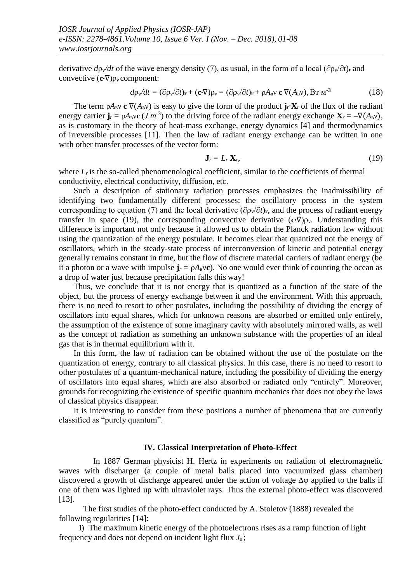derivative  $d\rho\sqrt{dt}$  of the wave energy density (7), as usual, in the form of a local ( $\partial \rho\sqrt{\partial t}$ )**r** and convective (**c**∙∇)ρ<sup>ν</sup> component:

$$
d\rho\sqrt{dt} = (\partial \rho_v/\partial t)_{\mathbf{r}} + (\mathbf{c} \cdot \nabla)\rho_v = (\partial \rho_v/\partial t)_{\mathbf{r}} + \rho A_{\mathbf{B}} \mathbf{v} \mathbf{c} \nabla (A_{\mathbf{B}} \mathbf{v}), \mathbf{B} \mathbf{r} \mathbf{M}^{-3}
$$
(18)

The term  $\rho A_B v$  **c**  $\nabla (A_B v)$  is easy to give the form of the product **j**<sub>*i*</sub>⋅**X**<sub>*r*</sub> of the flux of the radiant energy carrier  $\mathbf{j}_r = \rho A_b \mathbf{v} \mathbf{c}$  (*J m*<sup>-3</sup>) to the driving force of the radiant energy exchange  $\mathbf{X}_r = -\nabla (A_b \mathbf{v})$ , as is customary in the theory of heat-mass exchange, energy dynamics [4] and thermodynamics of irreversible processes [11]. Then the law of radiant energy exchange can be written in one with other transfer processes of the vector form:

$$
\mathbf{J}_r = L_r \, \mathbf{X}_r,\tag{19}
$$

where  $L<sub>r</sub>$  is the so-called phenomenological coefficient, similar to the coefficients of thermal conductivity, electrical conductivity, diffusion, etc.

Such a description of stationary radiation processes emphasizes the inadmissibility of identifying two fundamentally different processes: the oscillatory process in the system corresponding to equation (7) and the local derivative ( $\partial \rho_v / \partial t$ )<sub>r</sub>, and the process of radiant energy transfer in space (19), the corresponding convective derivative (**c**∙∇)ρν. Understanding this difference is important not only because it allowed us to obtain the Planck radiation law without using the quantization of the energy postulate. It becomes clear that quantized not the energy of oscillators, which in the steady-state process of interconversion of kinetic and potential energy generally remains constant in time, but the flow of discrete material carriers of radiant energy (be it a photon or a wave with impulse  $\mathbf{j}_r = \rho A_B v \mathbf{c}$ ). No one would ever think of counting the ocean as a drop of water just because precipitation falls this way!

Thus, we conclude that it is not energy that is quantized as a function of the state of the object, but the process of energy exchange between it and the environment. With this approach, there is no need to resort to other postulates, including the possibility of dividing the energy of oscillators into equal shares, which for unknown reasons are absorbed or emitted only entirely, the assumption of the existence of some imaginary cavity with absolutely mirrored walls, as well as the concept of radiation as something an unknown substance with the properties of an ideal gas that is in thermal equilibrium with it.

In this form, the law of radiation can be obtained without the use of the postulate on the quantization of energy, contrary to all classical physics. In this case, there is no need to resort to other postulates of a quantum-mechanical nature, including the possibility of dividing the energy of oscillators into equal shares, which are also absorbed or radiated only "entirely". Moreover, grounds for recognizing the existence of specific quantum mechanics that does not obey the laws of classical physics disappear.

It is interesting to consider from these positions a number of phenomena that are currently classified as "purely quantum".

### **IV. Classical Interpretation of Photo-Effect**

In 1887 German physicist H. Hertz in experiments on radiation of electromagnetic waves with discharger (a couple of metal balls placed into vacuumized glass chamber) discovered a growth of discharge appeared under the action of voltage ∆φ applied to the balls if one of them was lighted up with ultraviolet rays. Thus the external photo-effect was discovered [13].

The first studies of the photo-effect conducted by A. Stoletov (1888) revealed the following regularities [14]:

frequency and does not depend on incident light flux  $J_n$ ; 1) The maximum kinetic energy of the photoelectrons rises as a ramp function of light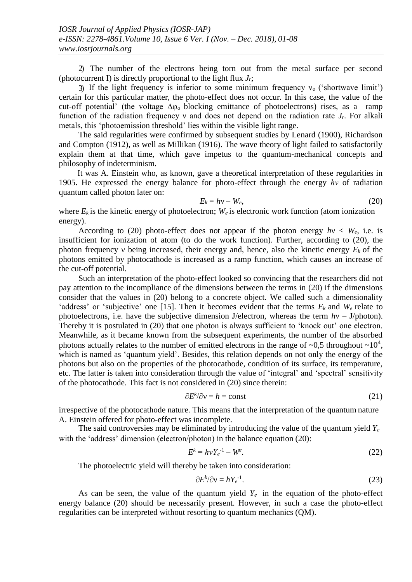2) The number of the electrons being torn out from the metal surface per second (photocurrent I) is directly proportional to the light flux *Jr*;

3) If the light frequency is inferior to some minimum frequency  $v_0$  ('shortwave limit') certain for this particular matter, the photo-effect does not occur. In this case, the value of the cut-off potential' (the voltage  $\Delta\varphi_0$  blocking emittance of photoelectrons) rises, as a ramp function of the radiation frequency ν and does not depend on the radiation rate *Jr*. For alkali metals, this 'photoemission threshold' lies within the visible light range.

The said regularities were confirmed by subsequent studies by Lenard (1900), Richardson and Compton (1912), as well as Millikan (1916). The wave theory of light failed to satisfactorily explain them at that time, which gave impetus to the quantum-mechanical concepts and philosophy of indeterminism.

It was A. Einstein who, as known, gave a theoretical interpretation of these regularities in 1905. He expressed the energy balance for photo-effect through the energy *hν* of radiation quantum called photon later on:

$$
E_k = hv - W_e, \tag{20}
$$

where  $E_k$  is the kinetic energy of photoelectron;  $W_e$  is electronic work function (atom ionization energy).

According to (20) photo-effect does not appear if the photon energy  $h\nu < W_e$ , i.e. is insufficient for ionization of atom (to do the work function). Further, according to (20), the photon frequency ν being increased, their energy and, hence, also the kinetic energy *Ek* of the photons emitted by photocathode is increased as a ramp function, which causes an increase of the cut-off potential.

Such an interpretation of the photo-effect looked so convincing that the researchers did not pay attention to the incompliance of the dimensions between the terms in (20) if the dimensions consider that the values in (20) belong to a concrete object. We called such a dimensionality 'address' or 'subjective' one [15]. Then it becomes evident that the terms  $E_k$  and  $W_e$  relate to photoelectrons, i.e. have the subjective dimension J/electron, whereas the term *h*ν – J/photon). Thereby it is postulated in (20) that one photon is always sufficient to 'knock out' one electron. Meanwhile, as it became known from the subsequent experiments, the number of the absorbed photons actually relates to the number of emitted electrons in the range of  $\sim 0.5$  throughout  $\sim 10^4$ , which is named as 'quantum yield'. Besides, this relation depends on not only the energy of the photons but also on the properties of the photocathode, condition of its surface, its temperature, etc. The latter is taken into consideration through the value of 'integral' and 'spectral' sensitivity of the photocathode. This fact is not considered in (20) since therein:

$$
\partial E^k / \partial v = h = \text{const} \tag{21}
$$

irrespective of the photocathode nature. This means that the interpretation of the quantum nature A. Einstein offered for photo-effect was incomplete.

The said controversies may be eliminated by introducing the value of the quantum yield *Y<sup>е</sup>* with the 'address' dimension (electron/photon) in the balance equation (20):

$$
E^k = h v Y_e^{-1} - W^e. \tag{22}
$$

The photoelectric yield will thereby be taken into consideration:

$$
\partial E^k / \partial v = h Y_e^{-1}.
$$
\n(23)

As can be seen, the value of the quantum yield  $Y_e$  in the equation of the photo-effect energy balance (20) should be necessarily present. However, in such a case the photo-effect regularities can be interpreted without resorting to quantum mechanics (QM).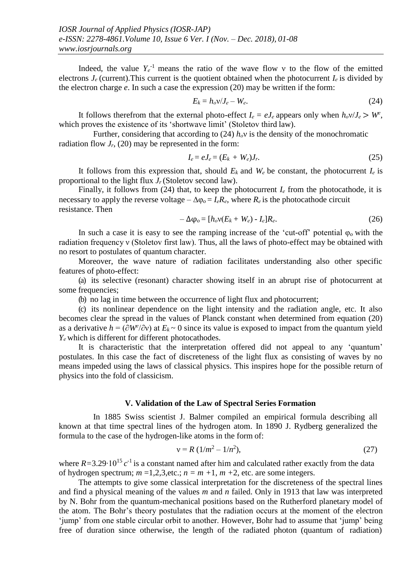Indeed, the value  $Y_e$ <sup>-1</sup> means the ratio of the wave flow v to the flow of the emitted electrons  $J_e$  (current). This current is the quotient obtained when the photocurrent  $I_e$  is divided by the electron charge *e*. In such a case the expression (20) may be written if the form:

$$
E_k = h_o v / J_e - W_e. \tag{24}
$$

It follows therefrom that the external photo-effect  $I_e = eJ_e$  appears only when  $h_o v / J_e > W^e$ , which proves the existence of its 'shortwave limit' (Stoletov third law).

Further, considering that according to (24)  $h<sub>o</sub>$ <sup>v</sup> is the density of the monochromatic radiation flow  $J_r$ , (20) may be represented in the form:

$$
I_e = eJ_e = (E_k + W_e)J_r. \tag{25}
$$

It follows from this expression that, should  $E_k$  and  $W_e$  be constant, the photocurrent  $I_e$  is proportional to the light flux *Jr* (Stoletov second law).

Finally, it follows from (24) that, to keep the photocurrent  $I_e$  from the photocathode, it is necessary to apply the reverse voltage –  $\Delta \varphi_o = I_e R_e$ , where  $R_e$  is the photocathode circuit resistance. Then

$$
-\Delta \varphi_0 = [h_0 v(E_k + W_e) - I_e]R_e.
$$
 (26)

In such a case it is easy to see the ramping increase of the 'cut-off' potential  $\varphi_0$  with the radiation frequency ν (Stoletov first law). Thus, all the laws of photo-effect may be obtained with no resort to postulates of quantum character.

Moreover, the wave nature of radiation facilitates understanding also other specific features of photo-effect:

(a) its selective (resonant) character showing itself in an abrupt rise of photocurrent at some frequencies;

(b) no lag in time between the occurrence of light flux and photocurrent;

(c) its nonlinear dependence on the light intensity and the radiation angle, etc. It also becomes clear the spread in the values of Planck constant when determined from equation (20) as a derivative  $h = (\partial W^e/\partial v)$  at  $E_k \sim 0$  since its value is exposed to impact from the quantum yield *Yе* which is different for different photocathodes.

It is characteristic that the interpretation offered did not appeal to any 'quantum' postulates. In this case the fact of discreteness of the light flux as consisting of waves by no means impeded using the laws of classical physics. This inspires hope for the possible return of physics into the fold of classicism.

### **V. Validation of the Law of Spectral Series Formation**

In 1885 Swiss scientist J. Balmer compiled an empirical formula describing all known at that time spectral lines of the hydrogen atom. In 1890 J. Rydberg generalized the formula to the case of the hydrogen-like atoms in the form of:

$$
v = R (1/m^2 - 1/n^2), \tag{27}
$$

where  $R = 3.29 \cdot 10^{15} c^{-1}$  is a constant named after him and calculated rather exactly from the data of hydrogen spectrum;  $m = 1,2,3$ , etc.;  $n = m + 1$ ,  $m + 2$ , etc. are some integers.

The attempts to give some classical interpretation for the discreteness of the spectral lines and find a physical meaning of the values *m* and *n* failed. Only in 1913 that law was interpreted by N. Bohr from the quantum-mechanical positions based on the Rutherford planetary model of the atom. The Bohr's theory postulates that the radiation occurs at the moment of the electron 'jump' from one stable circular orbit to another. However, Bohr had to assume that 'jump' being free of duration since otherwise, the length of the radiated photon (quantum of radiation)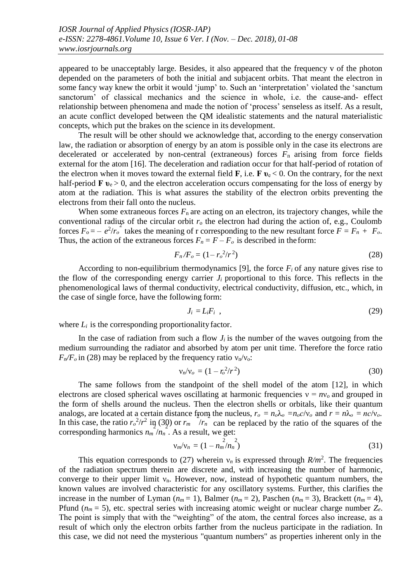appeared to be unacceptably large. Besides, it also appeared that the frequency v of the photon depended on the parameters of both the initial and subjacent orbits. That meant the electron in some fancy way knew the orbit it would 'jump' to. Such an 'interpretation' violated the 'sanctum sanctorum' of classical mechanics and the science in whole, i.e. the cause-and- effect relationship between phenomena and made the notion of 'process' senseless as itself. As a result, an acute conflict developed between the QM idealistic statements and the natural materialistic concepts, which put the brakes on the science in its development.

The result will be other should we acknowledge that, according to the energy conservation law, the radiation or absorption of energy by an atom is possible only in the case its electrons are decelerated or accelerated by non-central (extraneous) forces  $F_n$  arising from force fields external for the atom [16]. The deceleration and radiation occur for that half-period of rotation of the electron when it moves toward the external field  $\mathbf{F}$ , i.e.  $\mathbf{F} \mathbf{v}_e < 0$ . On the contrary, for the next half-period  $\mathbf{F} \mathbf{v}_e > 0$ , and the electron acceleration occurs compensating for the loss of energy by atom at the radiation. This is what assures the stability of the electron orbits preventing the electrons from their fall onto the nucleus.

When some extraneous forces  $F_n$  are acting on an electron, its trajectory changes, while the conventional radius of the circular orbit  $r_0$  the electron had during the action of, e.g., Coulomb forces  $F_o = -e^2/r_o$  takes the meaning of r corresponding to the new resultant force  $F = F_n + F_o$ . Thus, the action of the extraneous forces  $F_n = F - F_o$  is described in the form:

$$
F_n/F_o = (1 - r_o^2/r^2)
$$
 (28)

According to non-equilibrium thermodynamics [9], the force  $F_i$  of any nature gives rise to the flow of the corresponding energy carrier  $J_i$  proportional to this force. This reflects in the phenomenological laws of thermal conductivity, electrical conductivity, diffusion, etc., which, in the case of single force, have the following form:

$$
J_i = L_i F_i \tag{29}
$$

where  $L_i$  is the corresponding proportionality factor.

In the case of radiation from such a flow  $J_i$  is the number of the waves outgoing from the medium surrounding the radiator and absorbed by atom per unit time. Therefore the force ratio  $F_n/F_0$  in (28) may be replaced by the frequency ratio  $v_n/v_0$ :

$$
\mathsf{v}_n/\mathsf{v}_o = (1 - r_o^2/r^2) \tag{30}
$$

The same follows from the standpoint of the shell model of the atom [12], in which electrons are closed spherical waves oscillating at harmonic frequencies  $v = nv_0$  and grouped in the form of shells around the nucleus. Then the electron shells or orbitals, like their quantum analogs, are located at a certain distance from the nucleus,  $r_o = n_o \lambda_o = n_o c/v_o$  and  $r = n \lambda_o = nc/v_o$ . In this case, the ratio  $r_o^2/r^2$  in (30) or  $r_m$  / $r_n$  can be replaced by the ratio of the squares of the corresponding harmonics  $n_m / n_n$ . As a result, we get:

$$
v_m/v_n = (1 - n_m^2/n_n^2)
$$
 (31)

This equation corresponds to (27) wherein  $v_n$  is expressed through  $R/m^2$ . The frequencies of the radiation spectrum therein are discrete and, with increasing the number of harmonic, converge to their upper limit  $v_n$ . However, now, instead of hypothetic quantum numbers, the known values are involved characteristic for any oscillatory systems. Further, this clarifies the increase in the number of Lyman  $(n_m = 1)$ , Balmer  $(n_m = 2)$ , Paschen  $(n_m = 3)$ , Brackett  $(n_m = 4)$ , Pfund  $(n_m = 5)$ , etc. spectral series with increasing atomic weight or nuclear charge number  $Z_e$ . The point is simply that with the "weighting" of the atom, the central forces also increase, as a result of which only the electron orbits farther from the nucleus participate in the radiation. In this case, we did not need the mysterious "quantum numbers" as properties inherent only in the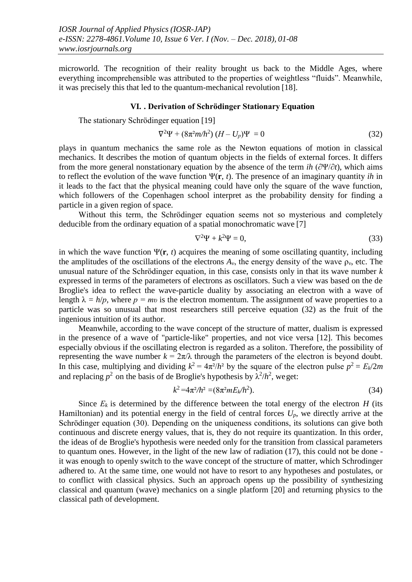microworld. The recognition of their reality brought us back to the Middle Ages, where everything incomprehensible was attributed to the properties of weightless "fluids". Meanwhile, it was precisely this that led to the quantum-mechanical revolution [18].

#### **VI. . Derivation of Schrödinger Stationary Equation**

The stationary Schrödinger equation [19]

$$
\nabla^2 \Psi + (8\pi^2 m/h^2) (H - U_p)\Psi = 0 \tag{32}
$$

plays in quantum mechanics the same role as the Newton equations of motion in classical mechanics. It describes the motion of quantum objects in the fields of external forces. It differs from the more general nonstationary equation by the absence of the term *ih* (∂Ψ/∂*t*), which aims to reflect the evolution of the wave function  $\Psi(\mathbf{r}, t)$ . The presence of an imaginary quantity *ih* in it leads to the fact that the physical meaning could have only the square of the wave function, which followers of the Copenhagen school interpret as the probability density for finding a particle in a given region of space.

Without this term, the Schrödinger equation seems not so mysterious and completely deducible from the ordinary equation of a spatial monochromatic wave [7]

$$
\nabla^2 \Psi + k^2 \Psi = 0,\tag{33}
$$

in which the wave function  $\Psi(\mathbf{r}, t)$  acquires the meaning of some oscillating quantity, including the amplitudes of the oscillations of the electrons  $A<sub>v</sub>$ , the energy density of the wave  $\rho<sub>v</sub>$ , etc. The unusual nature of the Schrödinger equation, in this case, consists only in that its wave number *k*  expressed in terms of the parameters of electrons as oscillators. Such a view was based on the de Broglie's idea to reflect the wave-particle duality by associating an electron with a wave of length  $\lambda = h/p$ , where  $p = mv$  is the electron momentum. The assignment of wave properties to a particle was so unusual that most researchers still perceive equation (32) as the fruit of the ingenious intuition of its author.

Meanwhile, according to the wave concept of the structure of matter, dualism is expressed in the presence of a wave of "particle-like" properties, and not vice versa [12]. This becomes especially obvious if the oscillating electron is regarded as a soliton. Therefore, the possibility of representing the wave number  $k = 2\pi/\lambda$  through the parameters of the electron is beyond doubt. In this case, multiplying and dividing  $k^2 = 4\pi^2/h^2$  by the square of the electron pulse  $p^2 = E_k/2m$ and replacing  $p^2$  on the basis of de Broglie's hypothesis by  $\lambda^2/h^2$ , we get:

$$
k^2 = 4\pi^2/h^2 = (8\pi^2 m E_k/h^2). \tag{34}
$$

Since  $E_k$  is determined by the difference between the total energy of the electron  $H$  (its Hamiltonian) and its potential energy in the field of central forces  $U_p$ , we directly arrive at the Schrödinger equation (30). Depending on the uniqueness conditions, its solutions can give both continuous and discrete energy values, that is, they do not require its quantization. In this order, the ideas of de Broglie's hypothesis were needed only for the transition from classical parameters to quantum ones. However, in the light of the new law of radiation (17), this could not be done it was enough to openly switch to the wave concept of the structure of matter, which Schrodinger adhered to. At the same time, one would not have to resort to any hypotheses and postulates, or to conflict with classical physics. Such an approach opens up the possibility of synthesizing classical and quantum (wave) mechanics on a single platform [20] and returning physics to the classical path of development.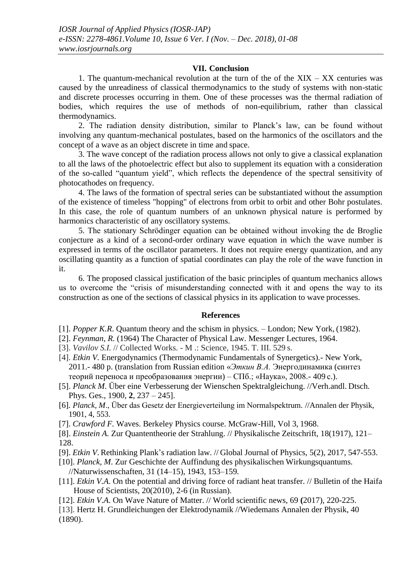## **VII. Conclusion**

1. The quantum-mechanical revolution at the turn of the of the  $XIX - XX$  centuries was caused by the unreadiness of classical thermodynamics to the study of systems with non-static and discrete processes occurring in them. One of these processes was the thermal radiation of bodies, which requires the use of methods of non-equilibrium, rather than classical thermodynamics.

2. The radiation density distribution, similar to Planck's law, can be found without involving any quantum-mechanical postulates, based on the harmonics of the oscillators and the concept of a wave as an object discrete in time and space.

3. The wave concept of the radiation process allows not only to give a classical explanation to all the laws of the photoelectric effect but also to supplement its equation with a consideration of the so-called "quantum yield", which reflects the dependence of the spectral sensitivity of photocathodes on frequency.

4. The laws of the formation of spectral series can be substantiated without the assumption of the existence of timeless "hopping" of electrons from orbit to orbit and other Bohr postulates. In this case, the role of quantum numbers of an unknown physical nature is performed by harmonics characteristic of any oscillatory systems.

5. The stationary Schrödinger equation can be obtained without invoking the de Broglie conjecture as a kind of a second-order ordinary wave equation in which the wave number is expressed in terms of the oscillator parameters. It does not require energy quantization, and any oscillating quantity as a function of spatial coordinates can play the role of the wave function in it.

6. The proposed classical justification of the basic principles of quantum mechanics allows us to overcome the "crisis of misunderstanding connected with it and opens the way to its construction as one of the sections of classical physics in its application to wave processes.

#### **References**

[1]. *Popper K.R*. Quantum theory and the schism in physics. – London; New York, (1982).

- [2]. *Feynman, R.* (1964) The Character of Physical Law. Messenger Lectures, 1964.
- [3]. *Vavilov S.I.* // Collected Works. M .: Science, 1945. T. III. 529 s.
- [4]. *Etkin V.* Energodynamics (Thermodynamic Fundamentals of Synergetics). New York, 2011.- 480 p. (translation from Russian edition «*Эткин В.А.* Энергодинамика (синтез теорий переноса и преобразования энергии) – СПб.; «Наука», 2008.- 409 с.).
- [5]. *Planck M*. Über eine Verbesserung der Wienschen Spektralgleichung. //Verh.andl. Dtsch. Phys. Ges., 1900, **2**, 237 – 245].
- [6]*. Planck, M*., Über das Gesetz der Energieverteilung im Normalspektrum*.* //Annalen der Physik, 1901, 4, 553.
- [7]. *Crawford F.* Waves. Berkeley Physics course. McGraw-Hill, Vol 3, 1968.

[8]. *Einstein A.* Zur Quantentheorie der Strahlung. // Physikalische Zeitschrift, 18(1917), 121– 128.

- [9]. *Etkin V*. Rethinking Plank's radiation law. // Global Journal of Physics, 5(2), 2017, 547-553.
- [10]. *[Planck,](https://en.wikipedia.org/wiki/Max_Planck) M*. Zur Geschichte der Auffindung des physikalischen Wirkungsquantums*.* /[/Naturwissenschaften,](https://en.wikipedia.org/wiki/Naturwissenschaften) 31 (14–15), 1943, 153–159*.*
- [11]. *Etkin V.A*. On the potential and driving force of radiant heat transfer. // Bulletin of the Haifa House of Scientists, 20(2010), 2-6 (in Russian).
- [12]. *Etkin V*.*A*. On Wave Nature of Matter. // World scientific news, 69 **(**2017), 220-225.

[13]. Hertz H. Grundleichungen der Elektrodynamik //Wiedemans Annalen der Physik, 40 (1890).